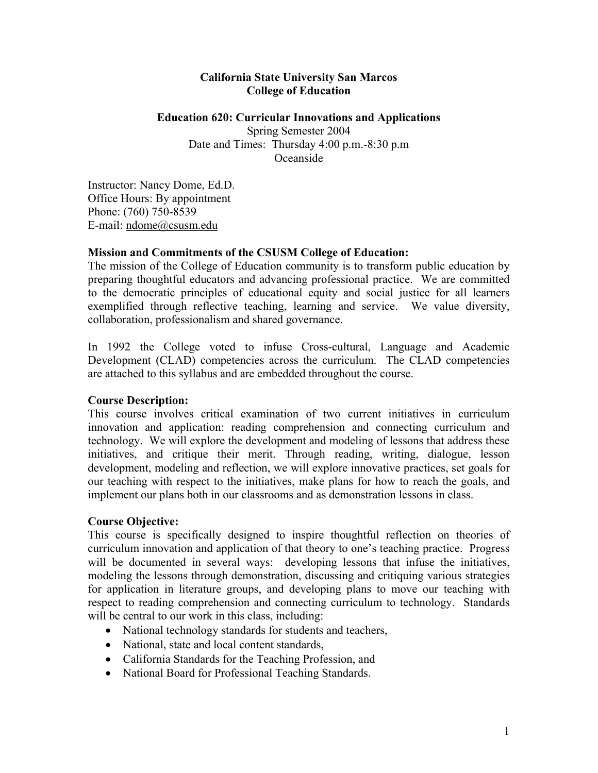## **California State University San Marcos College of Education**

### **Education 620: Curricular Innovations and Applications**

Spring Semester 2004 Date and Times: Thursday 4:00 p.m.-8:30 p.m Oceanside

Instructor: Nancy Dome, Ed.D. Office Hours: By appointment Phone: (760) 750-8539 E-mail: ndome@csusm.edu

## **Mission and Commitments of the CSUSM College of Education:**

The mission of the College of Education community is to transform public education by preparing thoughtful educators and advancing professional practice. We are committed to the democratic principles of educational equity and social justice for all learners exemplified through reflective teaching, learning and service. We value diversity, collaboration, professionalism and shared governance.

In 1992 the College voted to infuse Cross-cultural, Language and Academic Development (CLAD) competencies across the curriculum. The CLAD competencies are attached to this syllabus and are embedded throughout the course.

# **Course Description:**

This course involves critical examination of two current initiatives in curriculum innovation and application: reading comprehension and connecting curriculum and technology. We will explore the development and modeling of lessons that address these initiatives, and critique their merit. Through reading, writing, dialogue, lesson development, modeling and reflection, we will explore innovative practices, set goals for our teaching with respect to the initiatives, make plans for how to reach the goals, and implement our plans both in our classrooms and as demonstration lessons in class.

# **Course Objective:**

This course is specifically designed to inspire thoughtful reflection on theories of curriculum innovation and application of that theory to one's teaching practice. Progress will be documented in several ways: developing lessons that infuse the initiatives, modeling the lessons through demonstration, discussing and critiquing various strategies for application in literature groups, and developing plans to move our teaching with respect to reading comprehension and connecting curriculum to technology. Standards will be central to our work in this class, including:

- National technology standards for students and teachers,
- National, state and local content standards,
- California Standards for the Teaching Profession, and
- National Board for Professional Teaching Standards.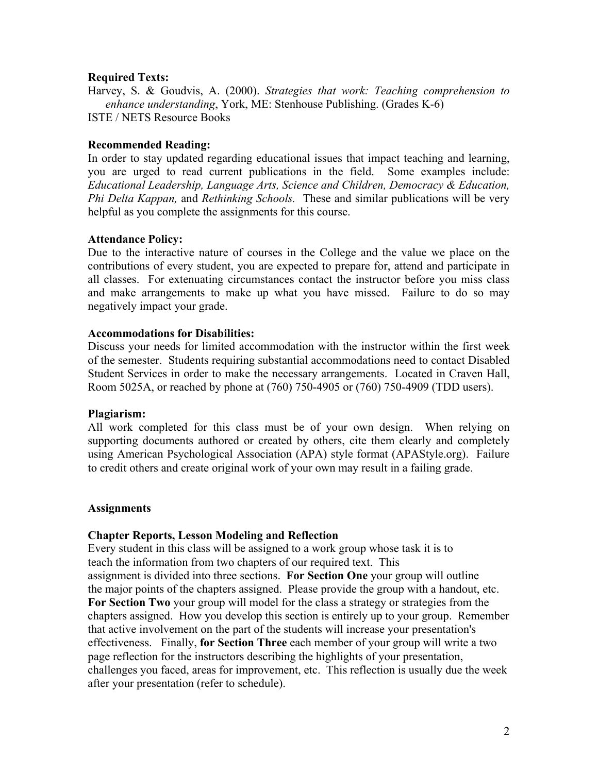## **Required Texts:**

Harvey, S. & Goudvis, A. (2000). *Strategies that work: Teaching comprehension to enhance understanding*, York, ME: Stenhouse Publishing. (Grades K-6) ISTE / NETS Resource Books

## **Recommended Reading:**

In order to stay updated regarding educational issues that impact teaching and learning, you are urged to read current publications in the field. Some examples include: *Educational Leadership, Language Arts, Science and Children, Democracy & Education, Phi Delta Kappan,* and *Rethinking Schools.* These and similar publications will be very helpful as you complete the assignments for this course.

## **Attendance Policy:**

Due to the interactive nature of courses in the College and the value we place on the contributions of every student, you are expected to prepare for, attend and participate in all classes. For extenuating circumstances contact the instructor before you miss class and make arrangements to make up what you have missed. Failure to do so may negatively impact your grade.

#### **Accommodations for Disabilities:**

Discuss your needs for limited accommodation with the instructor within the first week of the semester. Students requiring substantial accommodations need to contact Disabled Student Services in order to make the necessary arrangements. Located in Craven Hall, Room 5025A, or reached by phone at (760) 750-4905 or (760) 750-4909 (TDD users).

#### **Plagiarism:**

All work completed for this class must be of your own design. When relying on supporting documents authored or created by others, cite them clearly and completely using American Psychological Association (APA) style format (APAStyle.org). Failure to credit others and create original work of your own may result in a failing grade.

#### **Assignments**

#### **Chapter Reports, Lesson Modeling and Reflection**

Every student in this class will be assigned to a work group whose task it is to teach the information from two chapters of our required text. This assignment is divided into three sections. **For Section One** your group will outline the major points of the chapters assigned. Please provide the group with a handout, etc. **For Section Two** your group will model for the class a strategy or strategies from the chapters assigned. How you develop this section is entirely up to your group. Remember that active involvement on the part of the students will increase your presentation's effectiveness. Finally, **for Section Three** each member of your group will write a two page reflection for the instructors describing the highlights of your presentation, challenges you faced, areas for improvement, etc. This reflection is usually due the week after your presentation (refer to schedule).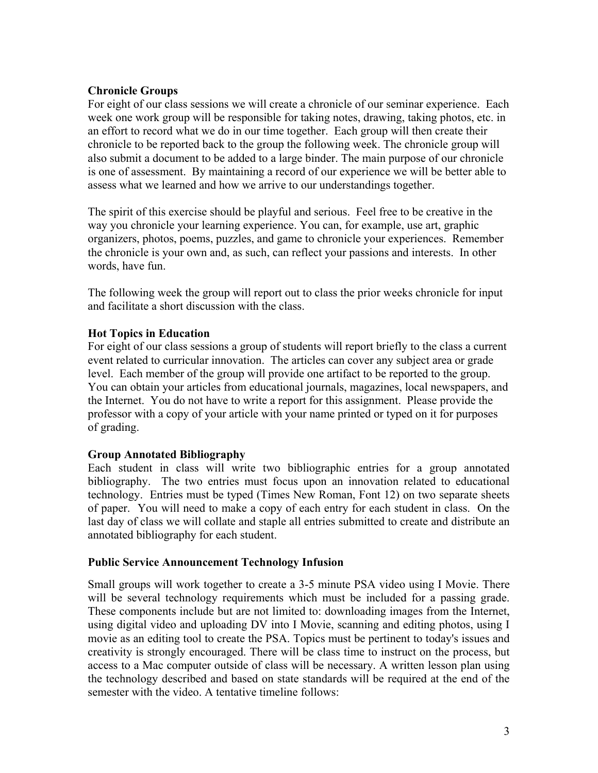# **Chronicle Groups**

For eight of our class sessions we will create a chronicle of our seminar experience. Each week one work group will be responsible for taking notes, drawing, taking photos, etc. in an effort to record what we do in our time together. Each group will then create their chronicle to be reported back to the group the following week. The chronicle group will also submit a document to be added to a large binder. The main purpose of our chronicle is one of assessment. By maintaining a record of our experience we will be better able to assess what we learned and how we arrive to our understandings together.

The spirit of this exercise should be playful and serious. Feel free to be creative in the way you chronicle your learning experience. You can, for example, use art, graphic organizers, photos, poems, puzzles, and game to chronicle your experiences. Remember the chronicle is your own and, as such, can reflect your passions and interests. In other words, have fun.

The following week the group will report out to class the prior weeks chronicle for input and facilitate a short discussion with the class.

## **Hot Topics in Education**

For eight of our class sessions a group of students will report briefly to the class a current event related to curricular innovation. The articles can cover any subject area or grade level. Each member of the group will provide one artifact to be reported to the group. You can obtain your articles from educational journals, magazines, local newspapers, and the Internet. You do not have to write a report for this assignment. Please provide the professor with a copy of your article with your name printed or typed on it for purposes of grading.

# **Group Annotated Bibliography**

Each student in class will write two bibliographic entries for a group annotated bibliography. The two entries must focus upon an innovation related to educational technology. Entries must be typed (Times New Roman, Font 12) on two separate sheets of paper. You will need to make a copy of each entry for each student in class. On the last day of class we will collate and staple all entries submitted to create and distribute an annotated bibliography for each student.

## **Public Service Announcement Technology Infusion**

Small groups will work together to create a 3-5 minute PSA video using I Movie. There will be several technology requirements which must be included for a passing grade. These components include but are not limited to: downloading images from the Internet, using digital video and uploading DV into I Movie, scanning and editing photos, using I movie as an editing tool to create the PSA. Topics must be pertinent to today's issues and creativity is strongly encouraged. There will be class time to instruct on the process, but access to a Mac computer outside of class will be necessary. A written lesson plan using the technology described and based on state standards will be required at the end of the semester with the video. A tentative timeline follows: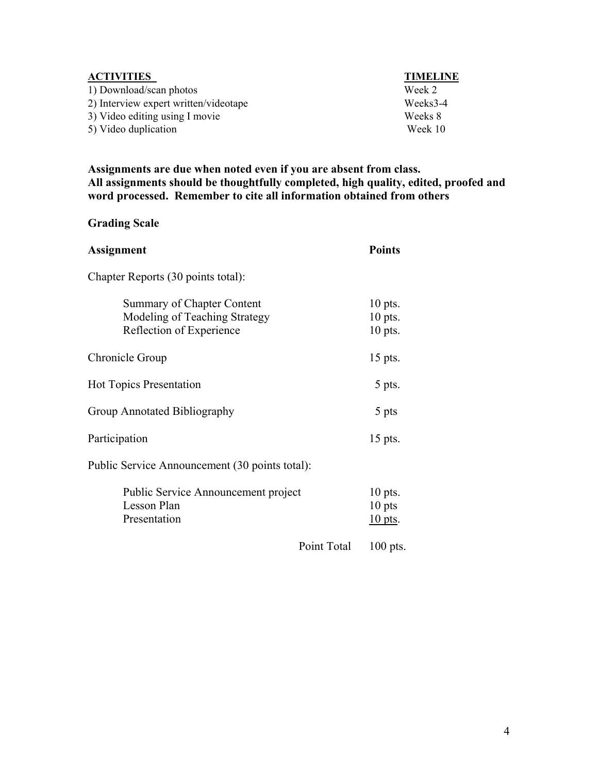| <b>ACTIVITIES</b>                     | <b>TIMELINE</b> |
|---------------------------------------|-----------------|
| 1) Download/scan photos               | Week 2          |
| 2) Interview expert written/videotape | Weeks3-4        |
| 3) Video editing using I movie        | Weeks 8         |
| 5) Video duplication                  | Week 10         |

**Assignments are due when noted even if you are absent from class. All assignments should be thoughtfully completed, high quality, edited, proofed and word processed. Remember to cite all information obtained from others** 

# **Grading Scale**

| <b>Assignment</b>                                                                              | <b>Points</b>                       |
|------------------------------------------------------------------------------------------------|-------------------------------------|
| Chapter Reports (30 points total):                                                             |                                     |
| <b>Summary of Chapter Content</b><br>Modeling of Teaching Strategy<br>Reflection of Experience | $10$ pts.<br>$10$ pts.<br>$10$ pts. |
| Chronicle Group                                                                                | 15 pts.                             |
| <b>Hot Topics Presentation</b>                                                                 | 5 pts.                              |
| Group Annotated Bibliography                                                                   | 5 pts                               |
| Participation                                                                                  | 15 pts.                             |
| Public Service Announcement (30 points total):                                                 |                                     |
| Public Service Announcement project<br>Lesson Plan<br>Presentation                             | $10$ pts.<br>10 pts<br>$10$ pts.    |
| Point Total                                                                                    | $100$ pts.                          |